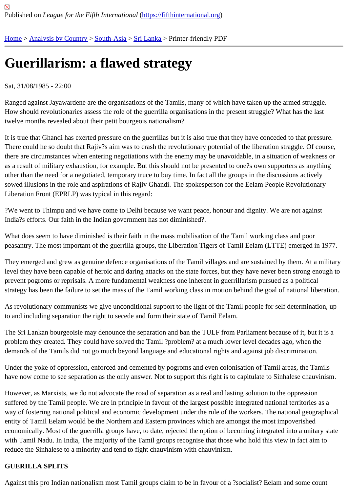# [Gu](https://fifthinternational.org/)[erillarism:](https://fifthinternational.org/category/1) [a flawe](https://fifthinternational.org/category/1/200)[d stra](https://fifthinternational.org/category/1/200/208)tegy

## Sat, 31/08/1985 - 22:00

Ranged against Jayawardene are the organisations of the Tamils, many of which have taken up the armed struggle How should revolutionaries assess the role of the guerrilla organisations in the present struggle? What has the las twelve months revealed about their petit bourgeois nationalism?

It is true that Ghandi has exerted pressure on the guerrillas but it is also true that they have conceded to that press There could he so doubt that Rajiv?s aim was to crash the revolutionary potential of the liberation straggle. Of cou there are circumstances when entering negotiations with the enemy may be unavoidable, in a situation of weaknes as a result of military exhaustion, for example. But this should not be presented to one?s own supporters as anyth other than the need for a negotiated, temporary truce to buy time. In fact all the groups in the discussions actively sowed illusions in the role and aspirations of Rajiv Ghandi. The spokesperson for the Eelam People Revolutionary Liberation Front (EPRLP) was typical in this regard:

?We went to Thimpu and we have come to Delhi because we want peace, honour and dignity. We are not against India?s efforts. Our faith in the Indian government has not diminished?.

What does seem to have diminished is their faith in the mass mobilisation of the Tamil working class and poor peasantry. The most important of the guerrilla groups, the Liberation Tigers of Tamil Eelam (LTTE) emerged in 19

They emerged and grew as genuine defence organisations of the Tamil villages and are sustained by them. At a n level they have been capable of heroic and daring attacks on the state forces, but they have never been strong en prevent pogroms or reprisals. A more fundamental weakness one inherent in guerrillarism pursued as a political strategy has been the failure to set the mass of the Tamil working class in motion behind the goal of national libera

As revolutionary communists we give unconditional support to the light of the Tamil people for self determination, u to and including separation the right to secede and form their state of Tamil Eelam.

The Sri Lankan bourgeoisie may denounce the separation and ban the TULF from Parliament because of it, but it problem they created. They could have solved the Tamil ?problem? at a much lower level decades ago, when the demands of the Tamils did not go much beyond language and educational rights and against job discrimination.

Under the yoke of oppression, enforced and cemented by pogroms and even colonisation of Tamil areas, the Tam have now come to see separation as the only answer. Not to support this right is to capitulate to Sinhalese chauvin

However, as Marxists, we do not advocate the road of separation as a real and lasting solution to the oppression suffered by the Tamil people. We are in principle in favour of the largest possible integrated national territories as a way of fostering national political and economic development under the rule of the workers. The national geograph entity of Tamil Eelam would be the Northern and Eastern provinces which are amongst the most impoverished economically. Most of the guerrilla groups have, to date, rejected the option of becoming integrated into a unitary s with Tamil Nadu. In India, The majority of the Tamil groups recognise that those who hold this view in fact aim to reduce the Sinhalese to a minority and tend to fight chauvinism with chauvinism.

## GUERILLA SPLITS

Against this pro Indian nationalism most Tamil groups claim to be in favour of a ?socialist? Eelam and some count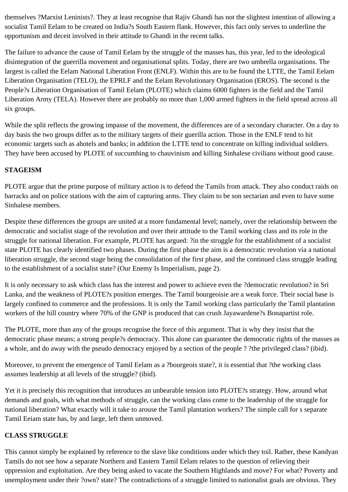themselves ?Marxist Leninists?. They at least recognise that Rajiv Ghandi has not the slightest intention of allowing a socialist Tamil Eelam to be created on India?s South Eastern flank. However, this fact only serves to underline the opportunism and deceit involved in their attitude to Ghandi in the recent talks.

The failure to advance the cause of Tamil Eelam by the struggle of the masses has, this year, led to the ideological disintegration of the guerrilla movement and organisational splits. Today, there are two umbrella organisations. The largest is called the Eelam National Liberation Front (ENLF). Within this are to be found the LTTE, the Tamil Eelam Liberation Organisation (TELO), the EPRLF and the Eelam Revolutionary Organisation (EROS). The second is the People?s Liberation Organisation of Tamil Eelam (PLOTE) which claims 6000 fighters in the field and the Tamil Liberation Army (TELA). However there are probably no more than 1,000 armed fighters in the field spread across all six groups.

While the split reflects the growing impasse of the movement, the differences are of a secondary character. On a day to day basis the two groups differ as to the military targets of their guerilla action. Those in the ENLF tend to hit economic targets such as ahotels and banks; in addition the LTTE tend to concentrate on killing individual soldiers. They have been accused by PLOTE of succumbing to chauvinism and killing Sinhalese civilians without good cause.

## **STAGEISM**

PLOTE argue that the prime purpose of military action is to defend the Tamils from attack. They also conduct raids on barracks and on police stations with the aim of capturing arms. They claim to be son sectarian and even to have some Sinhalese members.

Despite these differences the groups are united at a more fundamental level; namely, over the relationship between the democratic and socialist stage of the revolution and over their attitude to the Tamil working class and its role in the struggle for national liberation. For example, PLOTE has argued: ?in the struggle for the establishment of a socialist state PLOTE has clearly identified two phases. During the first phase the aim is a democratic revolution via a national liberation struggle, the second stage being the consolidation of the first phase, and the continued class struggle leading to the establishment of a socialist state? (Our Enemy Is Imperialism, page 2).

It is only necessary to ask which class has the interest and power to achieve even the ?democratic revolution? in Sri Lanka, and the weakness of PLOTE?s position emerges. The Tamil bourgeoisie are a weak force. Their social base is largely confined to commerce and the professions. It is only the Tamil working class particularly the Tamil plantation workers of the hill country where 70% of the GNP is produced that can crush Jayawardene?s Bonapartist role.

The PLOTE, more than any of the groups recognise the force of this argument. That is why they insist that the democratic phase means; a strong people?s democracy. This alone can guarantee the democratic rights of the masses as a whole, and do away with the pseudo democracy enjoyed by a section of the people ? ?the privileged class? (ibid).

Moreover, to prevent the emergence of Tamil Eelam as a ?bourgeois state?, it is essential that ?the working class assumes leadership at all levels of the struggle? (ibid).

Yet it is precisely this recognition that introduces an unbearable tension into PLOTE?s strategy. How, around what demands and goals, with what methods of struggle, can the working class come to the leadership of the straggle for national liberation? What exactly will it take to arouse the Tamil plantation workers? The simple call for s separate Tamil Eeiam state has, by and large, left them unmoved.

## **CLASS STRUGGLE**

This cannot simply be explained by reference to the slave like conditions under which they toil. Rather, these Kandyan Tamils do not see how a separate Northern and Eastern Tamil Eelam relates to the question of relieving their oppression and exploitation. Are they being asked to vacate the Southern Highlands and move? For what? Poverty and unemployment under their ?own? state? The contradictions of a struggle limited to nationalist goals are obvious. They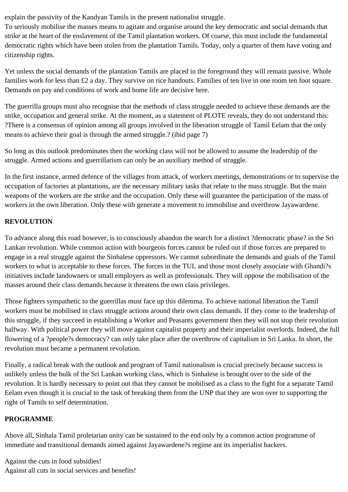explain the passivity of the Kandyan Tamils in the present nationalist struggle.

To seriously mobilise the masses means to agitate and organise around the key democratic and social demands that strike at the heart of the enslavement of the Tamil plantation workers. Of coarse, this must include the fundamental democratic rights which have been stolen from the plantation Tamils. Today, only a quarter of them have voting and citizenship rights.

Yet unless the social demands of the plantation Tamils are placed in the foreground they will remain passive. Whole families work for less than £2 a day. They survive on rice handouts. Families of ten live in one room ten foot square. Demands on pay and conditions of work and home life are decisive here.

The guerrilla groups must also recognise that the methods of class struggle needed to achieve these demands are the strike, occupation and general strike. At the moment, as a statement of PLOTE reveals, they do not understand this: ?There is a consensus of opinion among all groups involved in the liberation struggle of Tamil Eelam that the only means to achieve their goal is through the armed struggle.? (ibid page 7)

So long as this outlook predominates then the working class will not be allowed to assume the leadership of the struggle. Armed actions and guerrillarism can only be an auxiliary method of straggle.

In the first instance, armed defence of the villages from attack, of workers meetings, demonstrations or to supervise the occupation of factories at plantations, are the necessary military tasks that relate to the mass struggle. But the main weapons of the workers are the strike and the occupation. Only these will guarantee the participation of the mass of workers in the own liberation. Only these with generate a movement to immobilise and overthrow Jayawardene.

# **REVOLUTION**

To advance along this road however, is to consciously abandon the search for a distinct ?democratic phase? in the Sri Lankan revolution. While common action with bourgeois forces cannot be ruled out if those forces are prepared to engage in a real struggle against the Sinhalese oppressors. We cannot subordinate the demands and goals of the Tamil workers to what is acceptable to these forces. The forces in the TUL and those most closely associate with Ghandi?s initiatives include landowners or small employers as well as professionals. They will oppose the mobilisation of the masses around their class demands because it threatens the own class privileges.

Those fighters sympathetic to the guerrillas must face up this dilemma. To achieve national liberation the Tamil workers must be mobilised in class struggle actions around their own class demands. If they come to the leadership of this struggle, if they succeed in establishing a Worker and Peasants government then they will not stop their revolution halfway. With political power they will move against capitalist property and their imperialist overlords. Indeed, the full flowering of a ?people?s democracy? can only take place after the overthrow of capitalism in Sri Lanka. In short, the revolution must became a permanent revolution.

Finally, a radical break with the outlook and program of Tamil nationalism is crucial precisely because success is unlikely unless the bulk of the Sri Lankan working class, which is Sinhalese is brought over to the side of the revolution. It is hardly necessary to point out that they cannot be mobilised as a class to the fight for a separate Tamil Eelam even though it is crucial to the task of breaking them from the UNP that they are won over to supporting the right of Tamils to self determination.

# **PROGRAMME**

Above all, Sinhala Tamil proletarian unity can be sustained to the end only by a common action programme of immediate and transitional demands aimed against Jayawardene?s regime ant its imperialist backers.

Against the cuts in food subsidies! Against all cuts in social services and benefits!